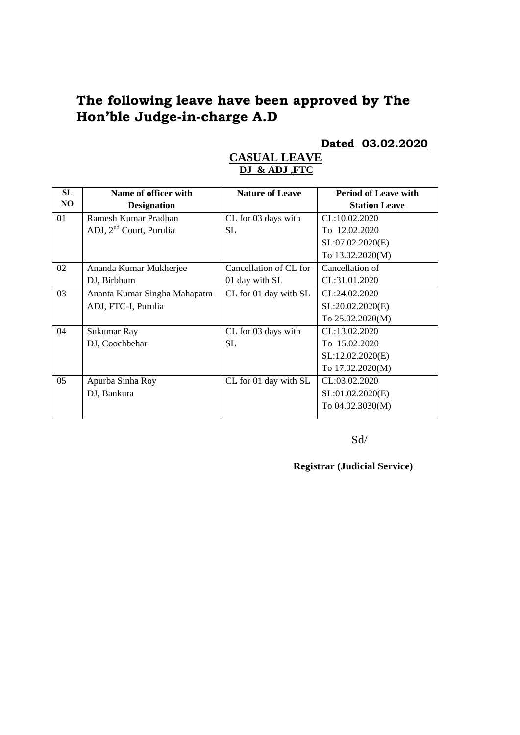# **The following leave have been approved by The Hon'ble Judge-in-charge A.D**

#### **Dated 03.02.2020**

#### **CASUAL LEAVE DJ & ADJ ,FTC**

| Name of officer with                | <b>Nature of Leave</b> | <b>Period of Leave with</b> |
|-------------------------------------|------------------------|-----------------------------|
| <b>Designation</b>                  |                        | <b>Station Leave</b>        |
| Ramesh Kumar Pradhan                | CL for 03 days with    | CL:10.02.2020               |
| ADJ, 2 <sup>nd</sup> Court, Purulia | SL.                    | To 12.02.2020               |
|                                     |                        | SL:07.02.2020(E)            |
|                                     |                        | To 13.02.2020(M)            |
| Ananda Kumar Mukherjee              | Cancellation of CL for | Cancellation of             |
| DJ, Birbhum                         | 01 day with SL         | CL:31.01.2020               |
| Ananta Kumar Singha Mahapatra       | CL for 01 day with SL  | CL:24.02.2020               |
| ADJ, FTC-I, Purulia                 |                        | SL:20.02.2020(E)            |
|                                     |                        | To 25.02.2020(M)            |
| Sukumar Ray                         | CL for 03 days with    | CL:13.02.2020               |
| DJ, Coochbehar                      | SL.                    | To 15.02.2020               |
|                                     |                        | SL:12.02.2020(E)            |
|                                     |                        | To 17.02.2020(M)            |
| Apurba Sinha Roy                    | CL for 01 day with SL  | CL:03.02.2020               |
| DJ, Bankura                         |                        | SL:01.02.2020(E)            |
|                                     |                        | To 04.02.3030(M)            |
|                                     |                        |                             |

Sd/

**Registrar (Judicial Service)**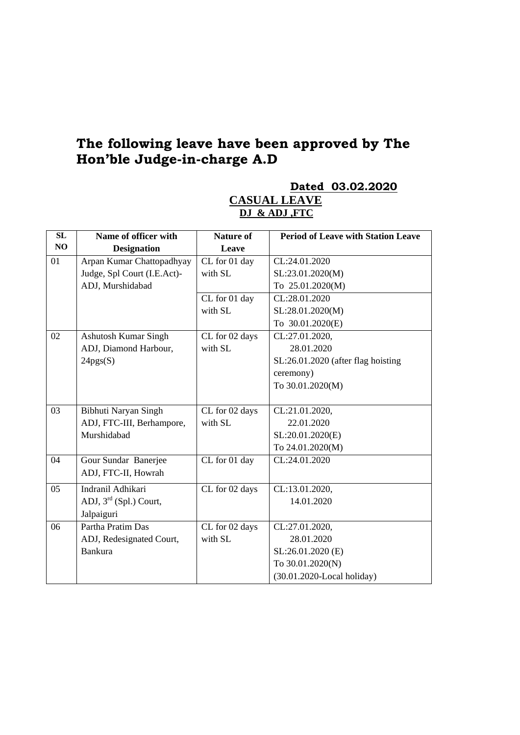# **The following leave have been approved by The Hon'ble Judge-in-charge A.D**

**SL NO Name of officer with Designation Nature of Leave Period of Leave with Station Leave**  01 Arpan Kumar Chattopadhyay Judge, Spl Court (I.E.Act)- ADJ, Murshidabad CL for 01 day with SL CL:24.01.2020 SL:23.01.2020(M) To 25.01.2020(M) CL for 01 day with SL CL:28.01.2020 SL:28.01.2020(M) To 30.01.2020(E) 02 Ashutosh Kumar Singh ADJ, Diamond Harbour,  $24pgs(S)$ CL for 02 days with SL CL:27.01.2020, 28.01.2020 SL:26.01.2020 (after flag hoisting ceremony) To 30.01.2020(M) 03 Bibhuti Naryan Singh ADJ, FTC-III, Berhampore, Murshidabad CL for 02 days with SL CL:21.01.2020, 22.01.2020 SL:20.01.2020(E) To 24.01.2020(M) 04 Gour Sundar Banerjee ADJ, FTC-II, Howrah CL for 01 day CL:24.01.2020 05 Indranil Adhikari ADJ,  $3^{\text{rd}}$  (Spl.) Court, Jalpaiguri CL for 02 days CL:13.01.2020, 14.01.2020 06 Partha Pratim Das ADJ, Redesignated Court, CL for 02 days with SL CL:27.01.2020, 28.01.2020

> SL:26.01.2020 (E) To 30.01.2020(N)

(30.01.2020-Local holiday)

Bankura

## **CASUAL LEAVE DJ & ADJ ,FTC**

**Dated 03.02.2020**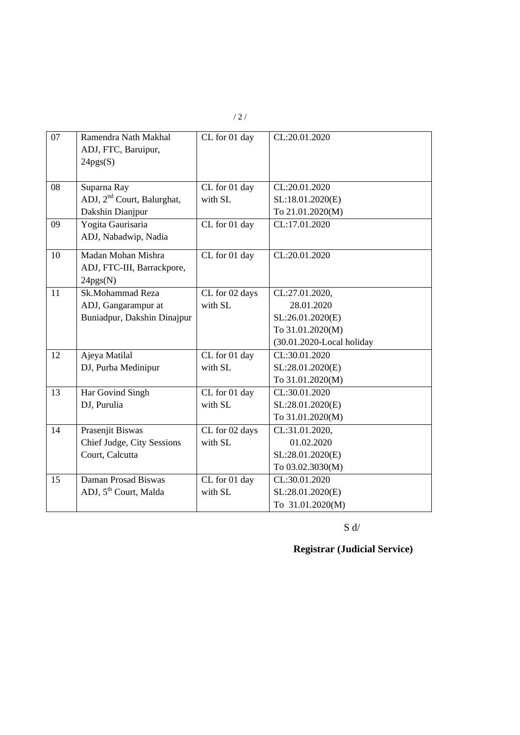| 07 | Ramendra Nath Makhal<br>ADJ, FTC, Baruipur,<br>24pgs(S) | CL for 01 day  | CL:20.01.2020             |
|----|---------------------------------------------------------|----------------|---------------------------|
| 08 | Suparna Ray                                             | CL for 01 day  | CL:20.01.2020             |
|    | ADJ, 2 <sup>nd</sup> Court, Balurghat,                  | with SL        | SL:18.01.2020(E)          |
|    | Dakshin Dianjpur                                        |                | To 21.01.2020(M)          |
| 09 | Yogita Gaurisaria                                       | CL for 01 day  | CL:17.01.2020             |
|    | ADJ, Nabadwip, Nadia                                    |                |                           |
| 10 | Madan Mohan Mishra                                      | CL for 01 day  | CL:20.01.2020             |
|    | ADJ, FTC-III, Barrackpore,                              |                |                           |
|    | 24pgs(N)                                                |                |                           |
| 11 | Sk.Mohammad Reza                                        | CL for 02 days | CL:27.01.2020,            |
|    | ADJ, Gangarampur at                                     | with SL        | 28.01.2020                |
|    | Buniadpur, Dakshin Dinajpur                             |                | SL:26.01.2020(E)          |
|    |                                                         |                | To 31.01.2020(M)          |
|    |                                                         |                | (30.01.2020-Local holiday |
| 12 | Ajeya Matilal                                           | CL for 01 day  | CL:30.01.2020             |
|    | DJ, Purba Medinipur                                     | with SL        | SL:28.01.2020(E)          |
|    |                                                         |                | To 31.01.2020(M)          |
| 13 | Har Govind Singh                                        | CL for 01 day  | CL:30.01.2020             |
|    | DJ, Purulia                                             | with SL        | SL:28.01.2020(E)          |
|    |                                                         |                | To 31.01.2020(M)          |
| 14 | Prasenjit Biswas                                        | CL for 02 days | CL:31.01.2020,            |
|    | Chief Judge, City Sessions                              | with SL        | 01.02.2020                |
|    | Court, Calcutta                                         |                | SL:28.01.2020(E)          |
|    |                                                         |                | To 03.02.3030(M)          |
| 15 | Daman Prosad Biswas                                     | CL for 01 day  | CL:30.01.2020             |
|    | ADJ, 5 <sup>th</sup> Court, Malda                       | with SL        | SL:28.01.2020(E)          |
|    |                                                         |                | To 31.01.2020(M)          |

/ 2 /

 $S \, d/$ 

**Registrar (Judicial Service)**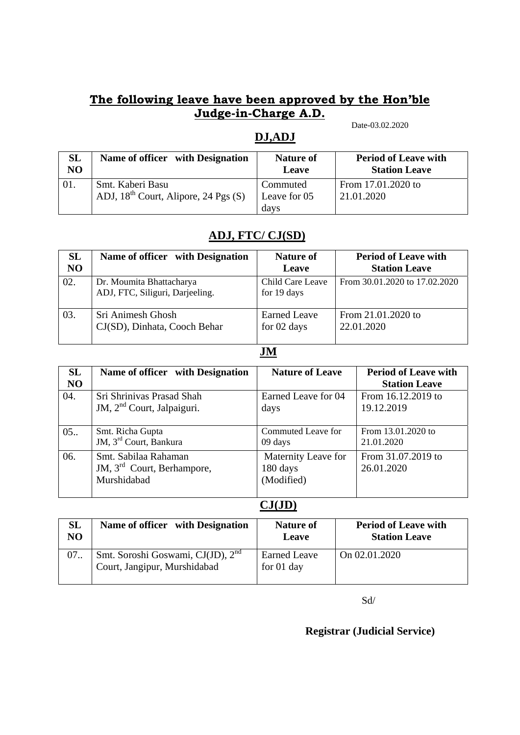#### **The following leave have been approved by the Hon'ble Judge-in-Charge A.D.**  Date-03.02.2020

# **DJ,ADJ**

| SL<br>N <sub>O</sub> | Name of officer with Designation          | <b>Nature of</b><br>Leave | <b>Period of Leave with</b><br><b>Station Leave</b> |
|----------------------|-------------------------------------------|---------------------------|-----------------------------------------------------|
| 01.                  | Smt. Kaberi Basu                          | Commuted                  | From 17.01.2020 to                                  |
|                      | ADJ, $18^{th}$ Court, Alipore, 24 Pgs (S) | Leave for 05              | 21.01.2020                                          |
|                      |                                           | days                      |                                                     |

# **ADJ, FTC/ CJ(SD)**

| <b>SL</b>      | Name of officer with Designation                            | <b>Nature of</b>                | <b>Period of Leave with</b>   |
|----------------|-------------------------------------------------------------|---------------------------------|-------------------------------|
| N <sub>O</sub> |                                                             | Leave                           | <b>Station Leave</b>          |
| 02.            | Dr. Moumita Bhattacharya<br>ADJ, FTC, Siliguri, Darjeeling. | Child Care Leave<br>for 19 days | From 30.01.2020 to 17.02.2020 |
| 03.            | Sri Animesh Ghosh                                           | <b>Earned Leave</b>             | From 21.01.2020 to            |
|                | CJ(SD), Dinhata, Cooch Behar                                | for 02 days                     | 22.01.2020                    |

#### **JM**

| <b>SL</b>      | Name of officer with Designation                                              | <b>Nature of Leave</b>                        | <b>Period of Leave with</b>      |
|----------------|-------------------------------------------------------------------------------|-----------------------------------------------|----------------------------------|
| N <sub>O</sub> |                                                                               |                                               | <b>Station Leave</b>             |
| 04.            | Sri Shrinivas Prasad Shah                                                     | Earned Leave for 04                           | From 16.12.2019 to               |
|                | JM, 2 <sup>nd</sup> Court, Jalpaiguri.                                        | days                                          | 19.12.2019                       |
| 05.            | Smt. Richa Gupta<br>JM, 3 <sup>rd</sup> Court, Bankura                        | Commuted Leave for<br>09 days                 | From 13.01.2020 to<br>21.01.2020 |
| 06.            | Smt. Sabilaa Rahaman<br>JM, 3 <sup>rd</sup> Court, Berhampore,<br>Murshidabad | Maternity Leave for<br>180 days<br>(Modified) | From 31.07.2019 to<br>26.01.2020 |

# **CJ(JD)**

| <b>SL</b>      | Name of officer with Designation                                              | <b>Nature of</b>                  | <b>Period of Leave with</b> |
|----------------|-------------------------------------------------------------------------------|-----------------------------------|-----------------------------|
| N <sub>O</sub> |                                                                               | Leave                             | <b>Station Leave</b>        |
| 07.            | Smt. Soroshi Goswami, CJ(JD), 2 <sup>nd</sup><br>Court, Jangipur, Murshidabad | <b>Earned Leave</b><br>for 01 day | On 02.01.2020               |

Sd/

## **Registrar (Judicial Service)**